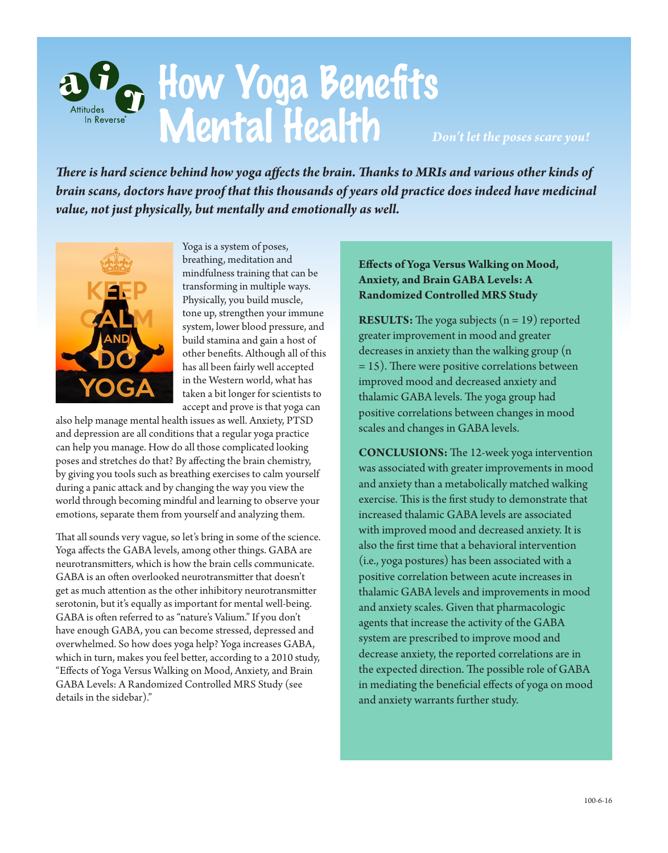

*There is hard science behind how yoga affects the brain. Thanks to MRIs and various other kinds of brain scans, doctors have proof that this thousands of years old practice does indeed have medicinal value, not just physically, but mentally and emotionally as well.*



Yoga is a system of poses, breathing, meditation and mindfulness training that can be transforming in multiple ways. Physically, you build muscle, tone up, strengthen your immune system, lower blood pressure, and build stamina and gain a host of other benefits. Although all of this has all been fairly well accepted in the Western world, what has taken a bit longer for scientists to accept and prove is that yoga can

also help manage mental health issues as well. Anxiety, PTSD and depression are all conditions that a regular yoga practice can help you manage. How do all those complicated looking poses and stretches do that? By affecting the brain chemistry, by giving you tools such as breathing exercises to calm yourself during a panic attack and by changing the way you view the world through becoming mindful and learning to observe your emotions, separate them from yourself and analyzing them.

That all sounds very vague, so let's bring in some of the science. Yoga affects the GABA levels, among other things. GABA are neurotransmitters, which is how the brain cells communicate. GABA is an often overlooked neurotransmitter that doesn't get as much attention as the other inhibitory neurotransmitter serotonin, but it's equally as important for mental well-being. GABA is often referred to as "nature's Valium." If you don't have enough GABA, you can become stressed, depressed and overwhelmed. So how does yoga help? Yoga increases GABA, which in turn, makes you feel better, according to a 2010 study, "Effects of Yoga Versus Walking on Mood, Anxiety, and Brain GABA Levels: A Randomized Controlled MRS Study (see details in the sidebar)."

## **Effects of Yoga Versus Walking on Mood, Anxiety, and Brain GABA Levels: A Randomized Controlled MRS Study**

**RESULTS:** The yoga subjects (n = 19) reported greater improvement in mood and greater decreases in anxiety than the walking group (n = 15). There were positive correlations between improved mood and decreased anxiety and thalamic GABA levels. The yoga group had positive correlations between changes in mood scales and changes in GABA levels.

**CONCLUSIONS:** The 12-week yoga intervention was associated with greater improvements in mood and anxiety than a metabolically matched walking exercise. This is the first study to demonstrate that increased thalamic GABA levels are associated with improved mood and decreased anxiety. It is also the first time that a behavioral intervention (i.e., yoga postures) has been associated with a positive correlation between acute increases in thalamic GABA levels and improvements in mood and anxiety scales. Given that pharmacologic agents that increase the activity of the GABA system are prescribed to improve mood and decrease anxiety, the reported correlations are in the expected direction. The possible role of GABA in mediating the beneficial effects of yoga on mood and anxiety warrants further study.